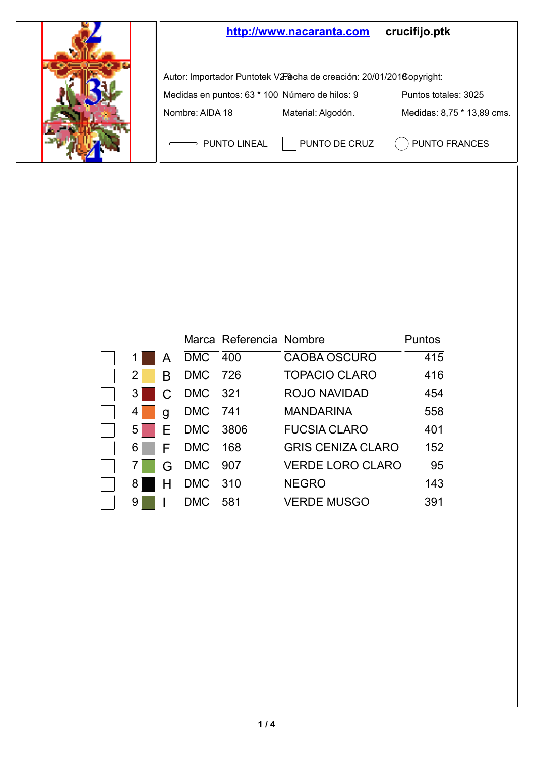

|    |    |            | Marca Referencia Nombre |                          | Puntos |
|----|----|------------|-------------------------|--------------------------|--------|
|    | A  | DMC 400    |                         | CAOBA OSCURO             | 415    |
|    | в  | DMC 726    |                         | <b>TOPACIO CLARO</b>     | 416    |
| 31 | C. | DMC 321    |                         | <b>ROJO NAVIDAD</b>      | 454    |
| 4  | q  | DMC 741    |                         | <b>MANDARINA</b>         | 558    |
| 51 | F. | DMC 3806   |                         | <b>FUCSIA CLARO</b>      | 401    |
| 6  | F  | DMC 168    |                         | <b>GRIS CENIZA CLARO</b> | 152    |
|    | G  | DMC 907    |                         | <b>VERDE LORO CLARO</b>  | 95     |
| 8  |    | DMC 310    |                         | <b>NEGRO</b>             | 143    |
| 9  |    | <b>DMC</b> | 581                     | <b>VERDE MUSGO</b>       | 391    |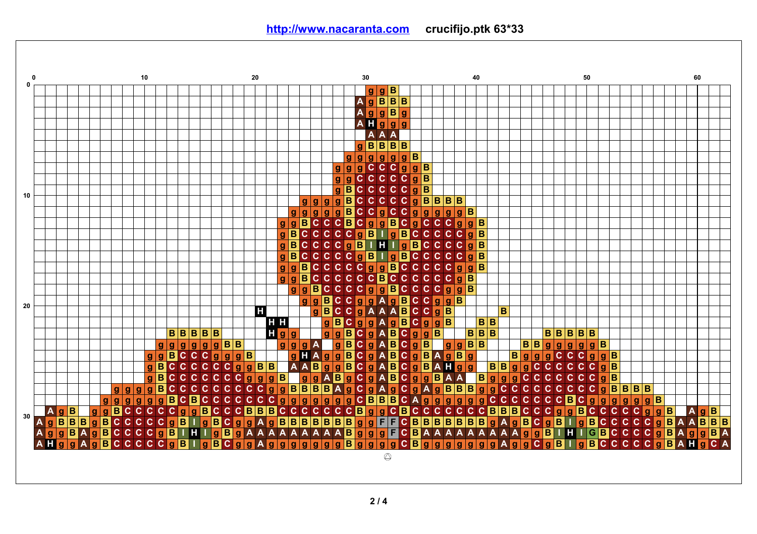**0 10 20 30 40 50 60 0 g g B A g B B B A g g B g A H g g g A A A B g B B B g g g g g B g g g g C C C g g B C g g C C C C g B B C C C g g B C C 10 C B C C g g g g C C g B B B B B C C g g g g g g C C g g g g g B B B C g g g g C C C B C g C C C g g B C C C C B B C C C C g B C g I g C g B B B C C C C g B H B C C C C g g I I g B C C C C C g B B C C C C C g B I g g B C g C g g C C C C g B C C C C g g B C g g B C C C C C C C B C C C C g B g C C g B C C C g g B C C C g g B C g B C g g B C g g C g g B A 20 H g B C C g A A A B C C g B B C B C H H g B g g A g g g B B B B C B B B B B B H g g g g A B C g g B B B B B B B B g C B g g g g g g B B g g g A g B g A B C g B g B B B g g g g g B g B C C B g g B C C C g g g B g H A g g g A B g A g B g B g g g C C C g g B C C C A B B C C B C C C C g B C C C g g B B A g g g A B A H g B B g C C g B g g g C C C C g B C C C C C g g g B g g A B g g A B C g g B A A B g g g C C C C C C g B B C C C C C C A C C g g g g C C C C C g g B B B B A g g A g g g B B B g g C C C C C C C g B B B B C B C C C C C g g g g g g B B B C A g g g g C C C C C C g g g g g g g g B C C C g g g C C B g g g g B B C B A g B g g B C C C C C g g B C C C B B C C C C C C C B g g C B C C C C C C B B B C C C g g B C C C C C g g B A g 30 B B B C C A B g g F F B g A B B C g A g g B C C C g B I g B C g g g B B B B B B C B B B B B B g B C g I g C C C C B A A B B B C A B A C A A g g g g g B C C C g B I H I g B g A A A A A A A B g g g F C B A A A A A A A A A g g B I H I G B C C C g B A B A I g B B g A A g g g A H g g B C C C C C g B g B C g g g g g g g B g g g g C B g g g g g g A g g C g B I C C C C C g A H g C A**  $\circledcirc$ 

**<http://www.nacaranta.com>crucifijo.ptk 63\*33**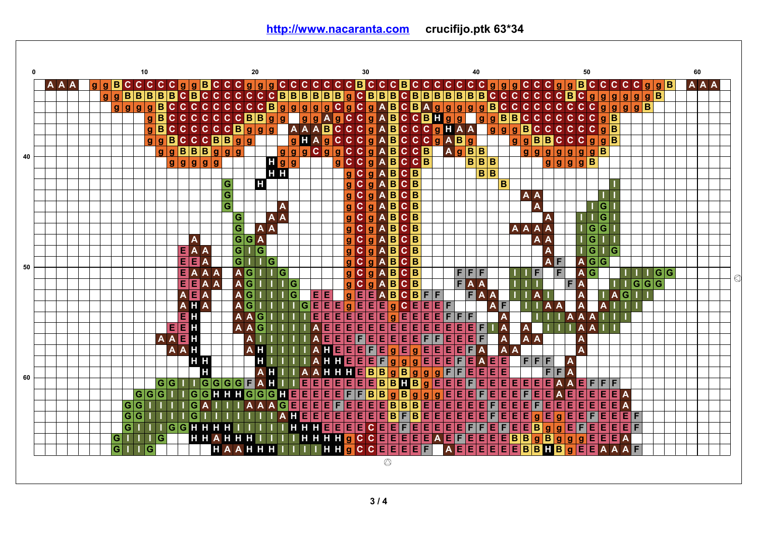**<http://www.nacaranta.com>crucifijo.ptk 63\*34**

|    |     |  |              |   |   | 10    |   |             |   |             |   |                                   |    |                   |                |                                         | 20                      |                |     |                             |    |     |             |     |    |              |                                                                  |   | 30              |                         |                |                                 |                                             |                                                                                                     |                                                                       |              |                |                         |                                     | 40                            |                               |                            |            |     |                         |                   |                         |                |           |                | 50                                                            |                |       |                           |                         |       |  |     |  | 60 |  |
|----|-----|--|--------------|---|---|-------|---|-------------|---|-------------|---|-----------------------------------|----|-------------------|----------------|-----------------------------------------|-------------------------|----------------|-----|-----------------------------|----|-----|-------------|-----|----|--------------|------------------------------------------------------------------|---|-----------------|-------------------------|----------------|---------------------------------|---------------------------------------------|-----------------------------------------------------------------------------------------------------|-----------------------------------------------------------------------|--------------|----------------|-------------------------|-------------------------------------|-------------------------------|-------------------------------|----------------------------|------------|-----|-------------------------|-------------------|-------------------------|----------------|-----------|----------------|---------------------------------------------------------------|----------------|-------|---------------------------|-------------------------|-------|--|-----|--|----|--|
|    | A A |  |              |   |   |       |   |             |   |             |   |                                   |    |                   |                |                                         |                         |                |     |                             |    |     |             |     |    |              |                                                                  |   |                 |                         |                |                                 |                                             |                                                                                                     |                                                                       |              |                |                         |                                     |                               |                               |                            |            |     |                         |                   |                         |                |           |                |                                                               |                |       |                           |                         |       |  |     |  |    |  |
|    |     |  | $\mathbf{q}$ |   |   |       |   |             |   |             |   |                                   |    |                   |                |                                         |                         |                |     |                             |    |     |             |     |    |              |                                                                  |   |                 |                         |                |                                 |                                             |                                                                                                     |                                                                       |              |                |                         |                                     |                               |                               |                            |            |     |                         |                   |                         |                |           |                |                                                               |                |       |                           |                         |       |  |     |  |    |  |
|    |     |  |              |   |   |       |   |             |   |             |   |                                   |    |                   |                |                                         |                         |                |     |                             |    |     |             |     |    |              |                                                                  |   |                 |                         |                |                                 |                                             |                                                                                                     |                                                                       |              |                |                         |                                     |                               |                               |                            |            |     |                         |                   |                         |                |           |                |                                                               |                |       |                           |                         |       |  |     |  |    |  |
|    |     |  |              |   |   |       |   |             |   |             |   |                                   |    |                   |                |                                         |                         |                |     |                             |    |     |             |     |    |              |                                                                  |   |                 |                         |                |                                 |                                             |                                                                                                     |                                                                       |              |                |                         |                                     |                               |                               |                            |            |     |                         |                   |                         |                |           |                |                                                               |                |       |                           |                         |       |  |     |  |    |  |
|    |     |  |              |   |   |       |   |             |   |             |   |                                   |    |                   |                |                                         |                         |                |     |                             |    |     |             |     |    |              |                                                                  |   |                 |                         |                |                                 |                                             |                                                                                                     |                                                                       |              |                |                         |                                     |                               |                               |                            |            |     |                         |                   |                         |                |           |                |                                                               |                |       |                           |                         |       |  |     |  |    |  |
|    |     |  |              |   |   |       |   |             |   |             |   |                                   |    |                   |                |                                         |                         |                |     |                             |    |     |             |     |    |              |                                                                  |   |                 |                         |                |                                 |                                             |                                                                                                     |                                                                       |              |                |                         |                                     |                               |                               |                            |            |     |                         |                   |                         |                |           |                |                                                               |                |       |                           |                         |       |  |     |  |    |  |
|    |     |  |              |   |   |       |   |             |   |             |   |                                   |    |                   |                |                                         |                         |                |     |                             |    |     |             |     |    |              |                                                                  |   |                 |                         |                |                                 |                                             |                                                                                                     |                                                                       |              |                |                         |                                     |                               |                               |                            |            |     |                         |                   |                         |                |           |                |                                                               |                |       |                           |                         |       |  |     |  |    |  |
| 40 |     |  |              |   |   |       |   |             |   | g g g g g g |   |                                   |    |                   |                |                                         |                         |                |     | $\mathbf{H}$ g $\mathbf{g}$ |    |     |             |     |    | $\mathbf{g}$ |                                                                  |   |                 | A                       |                | B                               |                                             |                                                                                                     |                                                                       |              |                |                         |                                     |                               |                               |                            |            |     |                         |                   | $g$ $g$ $g$ $g$ $B$     |                |           |                |                                                               |                |       |                           |                         |       |  |     |  |    |  |
|    |     |  |              |   |   |       |   |             |   |             |   |                                   |    |                   |                |                                         |                         |                |     | H <sub>H</sub>              |    |     |             |     |    |              |                                                                  |   |                 | $\mathbf{A}$            |                |                                 |                                             |                                                                                                     |                                                                       |              |                |                         | <b>ABBB</b><br>AgBBB<br>BBBB<br>BBB |                               |                               |                            |            |     |                         |                   |                         |                |           |                |                                                               |                |       |                           |                         |       |  |     |  |    |  |
|    |     |  |              |   |   |       |   |             |   |             |   |                                   |    |                   | G              |                                         |                         | Ш              |     |                             |    |     |             |     |    |              |                                                                  |   |                 | $\overline{A}$          |                | $\frac{\mathsf{B}}{\mathsf{B}}$ |                                             |                                                                                                     |                                                                       |              |                |                         |                                     |                               |                               | в                          |            |     |                         |                   |                         |                |           |                |                                                               |                |       |                           |                         |       |  |     |  |    |  |
|    |     |  |              |   |   |       |   |             |   |             |   |                                   |    |                   | $\overline{G}$ |                                         |                         |                |     |                             |    |     |             |     |    |              |                                                                  |   |                 | A                       |                | $\overline{\mathbf{B}}$         |                                             |                                                                                                     |                                                                       |              |                |                         |                                     |                               |                               |                            |            |     | A A                     |                   |                         |                |           |                |                                                               |                |       |                           |                         |       |  |     |  |    |  |
|    |     |  |              |   |   |       |   |             |   |             |   |                                   |    |                   | $\overline{G}$ |                                         |                         |                |     | A                           |    |     |             |     |    |              |                                                                  |   |                 | $\mathbf{A}$            |                |                                 |                                             |                                                                                                     |                                                                       |              |                |                         |                                     |                               |                               |                            |            |     |                         | A                 |                         |                |           |                |                                                               | G              |       |                           |                         |       |  |     |  |    |  |
|    |     |  |              |   |   |       |   |             |   |             |   |                                   |    |                   | G              |                                         |                         |                | A A |                             |    |     |             |     |    |              | a a a a a a a a a a a a a o o o<br>M o o o o o o o o o o o o o o |   | maaaaaaaaaaaaaa | $\overline{A}$          |                | $\frac{B}{B}$                   | icocococococo<br>Bababababa<br>Babababababa |                                                                                                     |                                                                       |              |                |                         |                                     |                               |                               |                            |            |     |                         |                   | A                       |                |           |                |                                                               | G              |       |                           |                         |       |  |     |  |    |  |
|    |     |  |              |   |   |       |   |             |   |             |   |                                   |    |                   | $\overline{G}$ |                                         |                         | A              |     |                             |    |     |             |     |    |              |                                                                  |   |                 | $ {\bf A} $             |                |                                 |                                             |                                                                                                     |                                                                       |              |                |                         |                                     |                               |                               |                            |            |     | <b>AAAA</b>             |                   |                         |                |           |                | $\overline{\phantom{a}}$ is a set of $\overline{\phantom{a}}$ | $\overline{G}$ |       |                           |                         |       |  |     |  |    |  |
|    |     |  |              |   |   |       |   |             |   |             | A |                                   |    |                   |                | $\overline{\mathsf{G}}\vert \mathsf{G}$ |                         | Â              |     |                             |    |     |             |     |    |              |                                                                  |   |                 | $\overline{A}$          |                |                                 |                                             |                                                                                                     |                                                                       |              |                |                         |                                     |                               |                               |                            |            |     |                         | A A               |                         |                |           |                | ⊤lG                                                           |                |       |                           |                         |       |  |     |  |    |  |
|    |     |  |              |   |   |       |   |             |   | Е           |   | A A                               |    |                   |                | $\overline{\mathsf{G}}$                 |                         | $\overline{G}$ |     |                             |    |     |             |     |    |              |                                                                  |   |                 | $\overline{A}$          |                | $\frac{\mathbf{B}}{\mathbf{B}}$ |                                             |                                                                                                     |                                                                       |              |                |                         |                                     |                               |                               |                            |            |     |                         |                   | Α                       |                |           |                | $\overline{\mathsf{T}}$ G                                     |                | lG    |                           |                         |       |  |     |  |    |  |
|    |     |  |              |   |   |       |   |             |   | E E         |   | $\overline{A}$                    |    |                   |                | $\overline{\mathbf{G}}$                 |                         |                | lG  |                             |    |     |             |     |    |              |                                                                  |   |                 | $\overline{\mathsf{A}}$ |                |                                 |                                             |                                                                                                     |                                                                       |              |                |                         |                                     |                               |                               |                            |            |     |                         |                   |                         | F              |           | $A$ G G        |                                                               |                |       |                           |                         |       |  |     |  |    |  |
| 50 |     |  |              |   |   |       |   |             |   | Е           |   | A A A                             |    |                   |                | <b>A</b> G                              |                         |                |     | G                           |    |     |             |     |    |              |                                                                  |   |                 | A                       |                | B                               |                                             |                                                                                                     |                                                                       |              |                |                         | FF                                  | F                             |                               |                            |            |     |                         | F                 |                         | F              |           | $\overline{A}$ | lG                                                            |                |       |                           |                         |       |  | G G |  |    |  |
|    |     |  |              |   |   |       |   |             |   |             |   | <b>EE</b> A A                     |    |                   |                |                                         | $\overline{\mathsf{G}}$ |                |     |                             | ١G |     |             |     |    |              |                                                                  |   |                 | A                       |                | $\overline{\mathbf{B}}$         |                                             |                                                                                                     |                                                                       |              |                | $\overline{\mathsf{F}}$ |                                     | $\overline{A}$ $\overline{A}$ |                               |                            |            |     |                         |                   |                         |                | F         |                |                                                               |                |       |                           |                         | G G G |  |     |  |    |  |
|    |     |  |              |   |   |       |   |             |   |             |   | $\overline{A}$ $\overline{B}$ $A$ |    |                   |                |                                         | G                       |                |     |                             | G  |     |             | E E |    |              |                                                                  |   |                 |                         | AB             |                                 | $\overline{\mathbf{c}}$                     | $\overline{B}$                                                                                      | $F$ F                                                                 |              |                |                         | $\overline{F}$                      |                               | $\overline{A}$ $\overline{A}$ |                            |            |     |                         | A                 |                         |                |           |                |                                                               |                | IA.   |                           | $\overline{G}$          |       |  |     |  |    |  |
|    |     |  |              |   |   |       |   |             |   |             |   | $A$ $H$ $A$                       |    |                   |                |                                         | $\overline{G}$          |                |     |                             |    | lG. |             | 百百  |    | Е            | <b>g</b>                                                         |   |                 | $EE$ e $g$              |                |                                 |                                             |                                                                                                     |                                                                       | E E E F      |                |                         |                                     |                               | A                             | F                          |            |     |                         |                   | A                       | $\overline{A}$ |           |                |                                                               | Δ              |       |                           |                         |       |  |     |  |    |  |
|    |     |  |              |   |   |       |   |             |   | EН          |   |                                   |    |                   |                |                                         | A                       | G              |     |                             |    |     | E.          |     | Ε  | E            | ΙEΙ                                                              |   |                 | E E E                   |                | $\mathbf{g}$                    | $\frac{\text{c}}{\text{E}}$                 |                                                                                                     |                                                                       | Е            | F              | F                       | F                                   |                               |                               | $\mathbf{A}$               |            |     |                         |                   |                         |                | A         | A              | A                                                             |                |       |                           |                         |       |  |     |  |    |  |
|    |     |  |              |   |   |       |   |             |   | $E$ $E$ $E$ |   |                                   |    |                   |                |                                         | A                       | G              |     |                             |    |     |             |     | El | E            | E                                                                | E |                 |                         |                |                                 | <u>eeëeee</u>                               |                                                                                                     |                                                                       | Ε            | Е              | lE l                    |                                     | $E$ F                         |                               | $\overline{\phantom{a}}$ A |            |     | $\overline{A}$          |                   |                         |                |           |                | A                                                             |                |       |                           |                         |       |  |     |  |    |  |
|    |     |  |              |   |   |       |   | <b>AAEH</b> |   |             |   |                                   |    |                   |                |                                         |                         |                |     |                             |    |     |             |     | EE |              | EF                                                               |   |                 | eee                     |                |                                 | $E$ $E$ $F$                                 |                                                                                                     |                                                                       | F            | Ε              | El                      | E                                   | F                             |                               | A                          |            |     | A                       |                   |                         |                |           | A              |                                                               |                |       |                           |                         |       |  |     |  |    |  |
|    |     |  |              |   |   |       |   |             |   | AAH         |   |                                   |    |                   |                |                                         | A H                     |                |     |                             |    |     |             |     | н  |              | $E$ E $E$                                                        |   |                 | FEgE                    |                |                                 |                                             | $gE$ $E$                                                                                            |                                                                       |              | Ε              |                         | EF                                  | A                             |                               | $\overline{A}$             |            |     |                         |                   |                         |                |           | A              |                                                               |                |       |                           |                         |       |  |     |  |    |  |
|    |     |  |              |   |   |       |   |             |   |             |   | H <sub>H</sub>                    |    |                   |                |                                         |                         | н              |     |                             |    |     |             |     | н  |              | $H$ E E                                                          |   |                 | $E$ $F$                 |                |                                 |                                             |                                                                                                     |                                                                       |              | $gEE$ $F$      |                         | Ε                                   | $\boldsymbol{\mathsf{A}}$     |                               | 面                          |            |     | FFF                     |                   |                         |                |           |                |                                                               |                |       |                           |                         |       |  |     |  |    |  |
|    |     |  |              |   |   |       |   |             |   |             |   | н                                 |    |                   |                |                                         |                         | $A$ H          |     |                             |    |     |             |     | н  |              | $H$ $H$ $E$ $B$                                                  |   |                 |                         | Fgg<br>BgB     |                                 |                                             | g g                                                                                                 |                                                                       | $\mathbf{q}$ | Ĉ              | F                       | Е                                   | ΙE                            |                               | E E                        |            |     |                         |                   | $\overline{F}$          | F              |           |                |                                                               |                |       |                           |                         |       |  |     |  |    |  |
| 60 |     |  |              |   |   |       |   | G G         |   |             |   |                                   |    | $G$ G $G$ $G$ $F$ |                |                                         |                         | A <sub>H</sub> |     |                             |    | Е   | Е           |     |    |              |                                                                  |   |                 |                         |                |                                 |                                             |                                                                                                     |                                                                       | BgE          | E              |                         | EF                                  | E                             | E                             |                            | <b>EEE</b> |     |                         | IE.               | Ε                       |                |           |                |                                                               |                |       |                           |                         |       |  |     |  |    |  |
|    |     |  |              |   |   | G G G |   |             |   |             | G |                                   | GH |                   | H <sub>H</sub> |                                         | Ġ                       | G              | lGl | н                           | Е  | E   | Е           |     |    |              |                                                                  |   |                 | EEEEEBBH<br>EEFFBBgB    |                |                                 | EEEEBBB                                     |                                                                                                     |                                                                       |              | Ε              | El                      | Е                                   | F                             | E                             | Е                          |            | Ε   | F                       | E E               |                         | A              | E         |                | E                                                             | Е              |       | $\blacksquare$ A          |                         |       |  |     |  |    |  |
|    |     |  |              |   | G | G     |   |             |   |             | G |                                   |    |                   |                |                                         |                         |                |     | Ġ                           | E  |     | <b>EEEF</b> |     |    |              |                                                                  |   |                 |                         |                |                                 |                                             | $\begin{array}{ c c } \hline \mathbf{g} & \mathbf{g} \\ \hline \mathbf{B} & \mathbf{E} \end{array}$ | $\begin{array}{ c c c }\n\hline\ng & g \\ \hline\nE & E\n\end{array}$ |              | E              |                         | E E E F                             |                               |                               | E                          | Έ          |     | Ε                       | $\vert$ F $\vert$ | EE                      |                | Е         | Е              |                                                               | EE             | E     |                           | $\overline{\mathsf{A}}$ |       |  |     |  |    |  |
|    |     |  |              |   | G | Ġ     |   |             |   |             |   |                                   |    |                   |                |                                         |                         |                |     |                             | Н  |     |             |     |    |              |                                                                  |   |                 |                         |                |                                 |                                             |                                                                                                     |                                                                       |              |                |                         |                                     |                               | EF                            |                            | Е          | Ε   | Έ                       | $\mathbf{g}$      | E                       | g              | Ε         | Ξ              | F                                                             | Е              |       |                           | EEF                     |       |  |     |  |    |  |
|    |     |  |              |   | G |       |   |             | G | G           |   |                                   |    |                   |                |                                         |                         |                |     |                             | н  |     |             |     |    |              |                                                                  |   |                 |                         |                |                                 |                                             |                                                                                                     |                                                                       |              |                |                         |                                     | F                             |                               | EF                         |            | ह ह |                         | ĪВ                | $\overline{g}$          | $\overline{g}$ | EF        |                | E                                                             |                | eee F |                           |                         |       |  |     |  |    |  |
|    |     |  |              | G |   |       |   | G           |   |             |   |                                   |    | HHAH              |                | H H                                     |                         |                |     |                             |    |     |             |     |    |              |                                                                  |   |                 |                         |                |                                 |                                             |                                                                                                     |                                                                       |              |                |                         |                                     |                               |                               | $E$ $E$ $E$ $B$            |            |     | $\overline{\mathbf{B}}$ | $\mathbf{g}$      | $\overline{\mathbf{B}}$ | g              | <b>ID</b> | <b>d</b>       | Ε                                                             | Е              |       | $\overline{\mathbf{H}}$ A |                         |       |  |     |  |    |  |
|    |     |  |              | G |   |       | G |             |   |             |   |                                   |    | HAAH              |                |                                         |                         | H              |     |                             |    |     |             |     | н  |              |                                                                  |   |                 |                         |                |                                 | $H$ $g$ $c$ $c$ $E$ $E$ $E$ $E$ $E$         |                                                                                                     |                                                                       |              | $\overline{A}$ |                         | ΈE                                  | E                             |                               | <b>EEE</b>                 |            |     | B                       |                   | <b>BMB</b>              |                | l a       | E              | Ē                                                             | A              |       |                           | A                       | F     |  |     |  |    |  |
|    |     |  |              |   |   |       |   |             |   |             |   |                                   |    |                   |                |                                         |                         |                |     |                             |    |     |             |     |    |              |                                                                  |   |                 |                         | $\circledcirc$ |                                 |                                             |                                                                                                     |                                                                       |              |                |                         |                                     |                               |                               |                            |            |     |                         |                   |                         |                |           |                |                                                               |                |       |                           |                         |       |  |     |  |    |  |